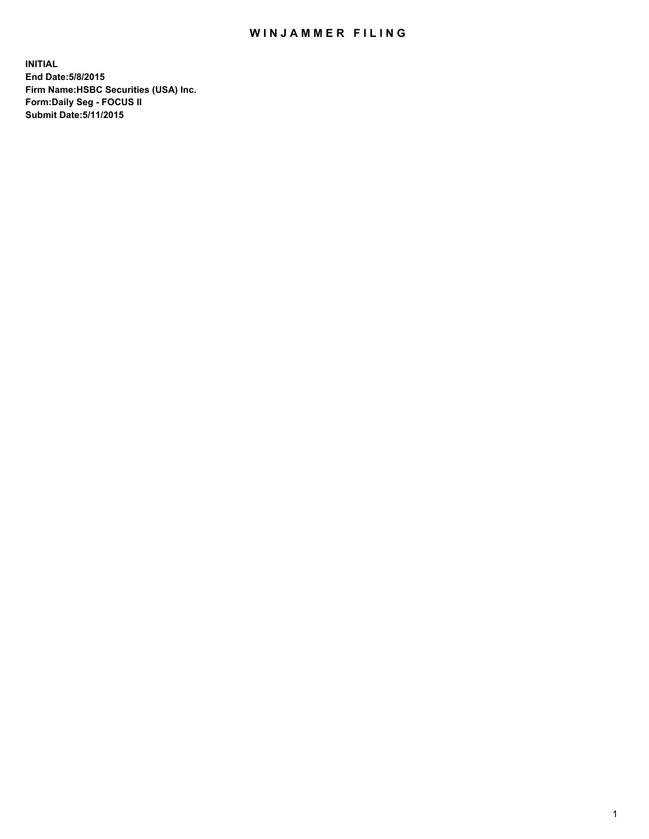## WIN JAMMER FILING

**INITIAL End Date:5/8/2015 Firm Name:HSBC Securities (USA) Inc. Form:Daily Seg - FOCUS II Submit Date:5/11/2015**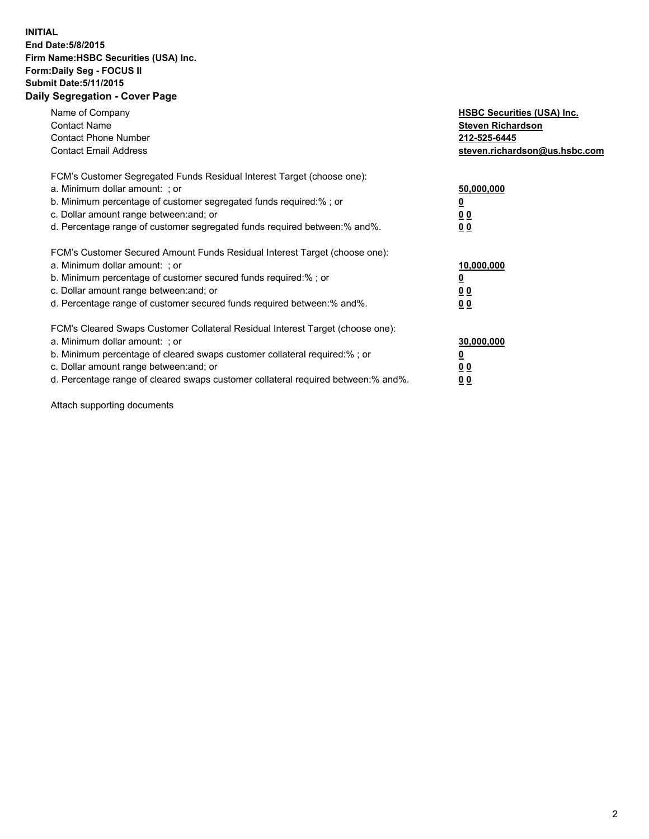## **INITIAL End Date:5/8/2015 Firm Name:HSBC Securities (USA) Inc. Form:Daily Seg - FOCUS II Submit Date:5/11/2015 Daily Segregation - Cover Page**

| Name of Company<br><b>Contact Name</b><br><b>Contact Phone Number</b><br><b>Contact Email Address</b>                                                                                                                                                                                                                         | <b>HSBC Securities (USA) Inc.</b><br><b>Steven Richardson</b><br>212-525-6445<br>steven.richardson@us.hsbc.com |
|-------------------------------------------------------------------------------------------------------------------------------------------------------------------------------------------------------------------------------------------------------------------------------------------------------------------------------|----------------------------------------------------------------------------------------------------------------|
| FCM's Customer Segregated Funds Residual Interest Target (choose one):<br>a. Minimum dollar amount: ; or<br>b. Minimum percentage of customer segregated funds required:% ; or<br>c. Dollar amount range between: and; or<br>d. Percentage range of customer segregated funds required between: % and %.                      | 50,000,000<br><u>0</u><br>0 <sub>0</sub><br>0 <sub>0</sub>                                                     |
| FCM's Customer Secured Amount Funds Residual Interest Target (choose one):<br>a. Minimum dollar amount: ; or<br>b. Minimum percentage of customer secured funds required:%; or<br>c. Dollar amount range between: and; or<br>d. Percentage range of customer secured funds required between:% and%.                           | 10,000,000<br>0 <sub>0</sub><br>0 <sub>0</sub>                                                                 |
| FCM's Cleared Swaps Customer Collateral Residual Interest Target (choose one):<br>a. Minimum dollar amount: ; or<br>b. Minimum percentage of cleared swaps customer collateral required:%; or<br>c. Dollar amount range between: and; or<br>d. Percentage range of cleared swaps customer collateral required between:% and%. | 30,000,000<br>0 <sub>0</sub><br>00                                                                             |

Attach supporting documents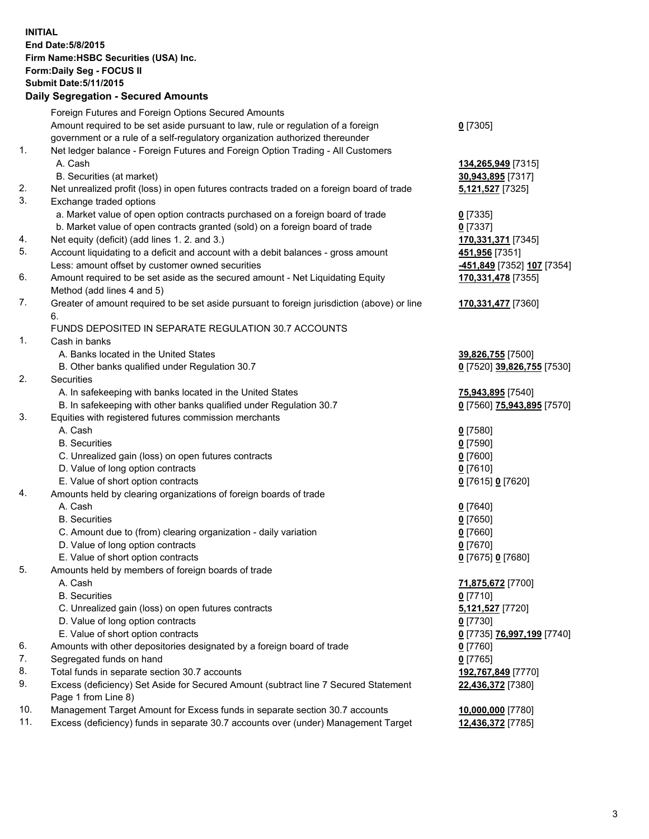**INITIAL End Date:5/8/2015 Firm Name:HSBC Securities (USA) Inc. Form:Daily Seg - FOCUS II Submit Date:5/11/2015 Daily Segregation - Secured Amounts**

Foreign Futures and Foreign Options Secured Amounts Amount required to be set aside pursuant to law, rule or regulation of a foreign government or a rule of a self-regulatory organization authorized thereunder **0** [7305] 1. Net ledger balance - Foreign Futures and Foreign Option Trading - All Customers A. Cash **134,265,949** [7315] B. Securities (at market) **30,943,895** [7317] 2. Net unrealized profit (loss) in open futures contracts traded on a foreign board of trade **5,121,527** [7325] 3. Exchange traded options a. Market value of open option contracts purchased on a foreign board of trade **0** [7335] b. Market value of open contracts granted (sold) on a foreign board of trade **0** [7337] 4. Net equity (deficit) (add lines 1. 2. and 3.) **170,331,371** [7345] 5. Account liquidating to a deficit and account with a debit balances - gross amount **451,956** [7351] Less: amount offset by customer owned securities **-451,849** [7352] **107** [7354] 6. Amount required to be set aside as the secured amount - Net Liquidating Equity Method (add lines 4 and 5) **170,331,478** [7355] 7. Greater of amount required to be set aside pursuant to foreign jurisdiction (above) or line 6. **170,331,477** [7360] FUNDS DEPOSITED IN SEPARATE REGULATION 30.7 ACCOUNTS 1. Cash in banks A. Banks located in the United States **39,826,755** [7500] B. Other banks qualified under Regulation 30.7 **0** [7520] **39,826,755** [7530] 2. Securities A. In safekeeping with banks located in the United States **75,943,895** [7540] B. In safekeeping with other banks qualified under Regulation 30.7 **0** [7560] **75,943,895** [7570] 3. Equities with registered futures commission merchants A. Cash **0** [7580] B. Securities **0** [7590] C. Unrealized gain (loss) on open futures contracts **0** [7600] D. Value of long option contracts **0** [7610] E. Value of short option contracts **0** [7615] **0** [7620] 4. Amounts held by clearing organizations of foreign boards of trade A. Cash **0** [7640] B. Securities **0** [7650] C. Amount due to (from) clearing organization - daily variation **0** [7660] D. Value of long option contracts **0** [7670] E. Value of short option contracts **0** [7675] **0** [7680] 5. Amounts held by members of foreign boards of trade A. Cash **71,875,672** [7700] B. Securities **0** [7710] C. Unrealized gain (loss) on open futures contracts **5,121,527** [7720] D. Value of long option contracts **0** [7730] E. Value of short option contracts **0** [7735] **76,997,199** [7740] 6. Amounts with other depositories designated by a foreign board of trade **0** [7760] 7. Segregated funds on hand **0** [7765] 8. Total funds in separate section 30.7 accounts **192,767,849** [7770] 9. Excess (deficiency) Set Aside for Secured Amount (subtract line 7 Secured Statement Page 1 from Line 8) **22,436,372** [7380] 10. Management Target Amount for Excess funds in separate section 30.7 accounts **10,000,000** [7780] 11. Excess (deficiency) funds in separate 30.7 accounts over (under) Management Target **12,436,372** [7785]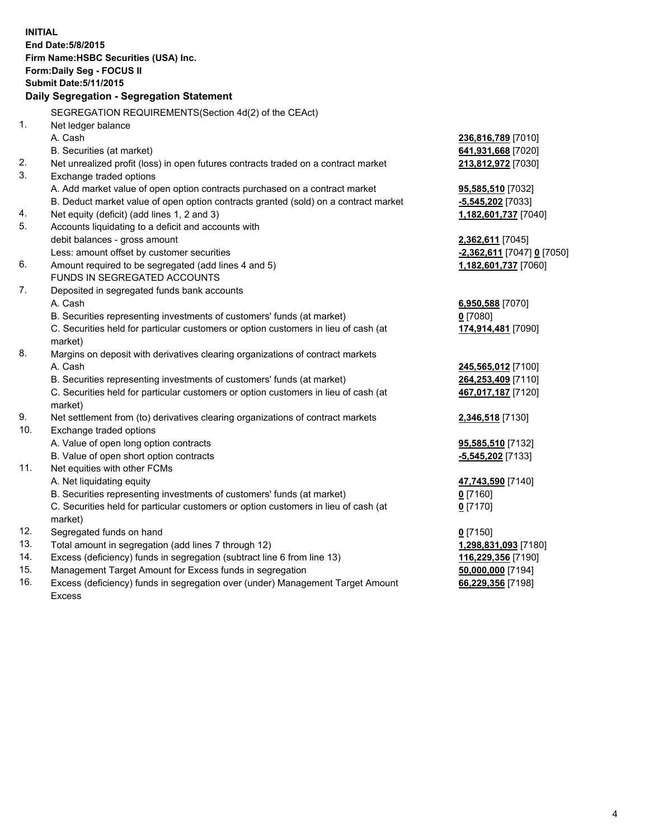| <b>INITIAL</b>                            | End Date: 5/8/2015                                                                             |                            |  |  |
|-------------------------------------------|------------------------------------------------------------------------------------------------|----------------------------|--|--|
| Firm Name: HSBC Securities (USA) Inc.     |                                                                                                |                            |  |  |
| Form: Daily Seg - FOCUS II                |                                                                                                |                            |  |  |
|                                           | <b>Submit Date: 5/11/2015</b>                                                                  |                            |  |  |
| Daily Segregation - Segregation Statement |                                                                                                |                            |  |  |
|                                           | SEGREGATION REQUIREMENTS(Section 4d(2) of the CEAct)                                           |                            |  |  |
| 1.                                        | Net ledger balance                                                                             |                            |  |  |
|                                           | A. Cash                                                                                        | 236,816,789 [7010]         |  |  |
|                                           | B. Securities (at market)                                                                      | 641,931,668 [7020]         |  |  |
| 2.                                        | Net unrealized profit (loss) in open futures contracts traded on a contract market             | 213,812,972 [7030]         |  |  |
| 3.                                        | Exchange traded options                                                                        |                            |  |  |
|                                           | A. Add market value of open option contracts purchased on a contract market                    | 95,585,510 [7032]          |  |  |
|                                           | B. Deduct market value of open option contracts granted (sold) on a contract market            | -5,545,202 [7033]          |  |  |
| 4.                                        | Net equity (deficit) (add lines 1, 2 and 3)                                                    | 1,182,601,737 [7040]       |  |  |
| 5.                                        | Accounts liquidating to a deficit and accounts with                                            |                            |  |  |
|                                           | debit balances - gross amount                                                                  | 2,362,611 [7045]           |  |  |
|                                           | Less: amount offset by customer securities                                                     | -2,362,611 [7047] 0 [7050] |  |  |
| 6.                                        | Amount required to be segregated (add lines 4 and 5)                                           | 1,182,601,737 [7060]       |  |  |
|                                           | FUNDS IN SEGREGATED ACCOUNTS                                                                   |                            |  |  |
| 7.                                        | Deposited in segregated funds bank accounts                                                    |                            |  |  |
|                                           | A. Cash                                                                                        | 6,950,588 [7070]           |  |  |
|                                           | B. Securities representing investments of customers' funds (at market)                         | $0$ [7080]                 |  |  |
|                                           | C. Securities held for particular customers or option customers in lieu of cash (at<br>market) | 174,914,481 [7090]         |  |  |
| 8.                                        | Margins on deposit with derivatives clearing organizations of contract markets                 |                            |  |  |
|                                           | A. Cash                                                                                        | 245,565,012 [7100]         |  |  |
|                                           | B. Securities representing investments of customers' funds (at market)                         | 264,253,409 [7110]         |  |  |
|                                           | C. Securities held for particular customers or option customers in lieu of cash (at            | 467,017,187 [7120]         |  |  |
|                                           | market)                                                                                        |                            |  |  |
| 9.                                        | Net settlement from (to) derivatives clearing organizations of contract markets                | 2,346,518 [7130]           |  |  |
| 10.                                       | Exchange traded options                                                                        |                            |  |  |
|                                           | A. Value of open long option contracts                                                         | 95,585,510 [7132]          |  |  |
|                                           | B. Value of open short option contracts                                                        | -5,545,202 [7133]          |  |  |
| 11.                                       | Net equities with other FCMs                                                                   |                            |  |  |
|                                           | A. Net liquidating equity                                                                      | 47,743,590 [7140]          |  |  |
|                                           | B. Securities representing investments of customers' funds (at market)                         | $0$ [7160]                 |  |  |
|                                           | C. Securities held for particular customers or option customers in lieu of cash (at<br>market) | $0$ [7170]                 |  |  |
| 12.                                       | Segregated funds on hand                                                                       | $0$ [7150]                 |  |  |
| 13.                                       | Total amount in segregation (add lines 7 through 12)                                           | 1,298,831,093 [7180]       |  |  |
| 14.                                       | Excess (deficiency) funds in segregation (subtract line 6 from line 13)                        | 116,229,356 [7190]         |  |  |
| 15.                                       | Management Target Amount for Excess funds in segregation                                       | 50,000,000 [7194]          |  |  |
| 16.                                       | Excess (deficiency) funds in segregation over (under) Management Target Amount                 | 66,229,356 [7198]          |  |  |
|                                           | Excess                                                                                         |                            |  |  |